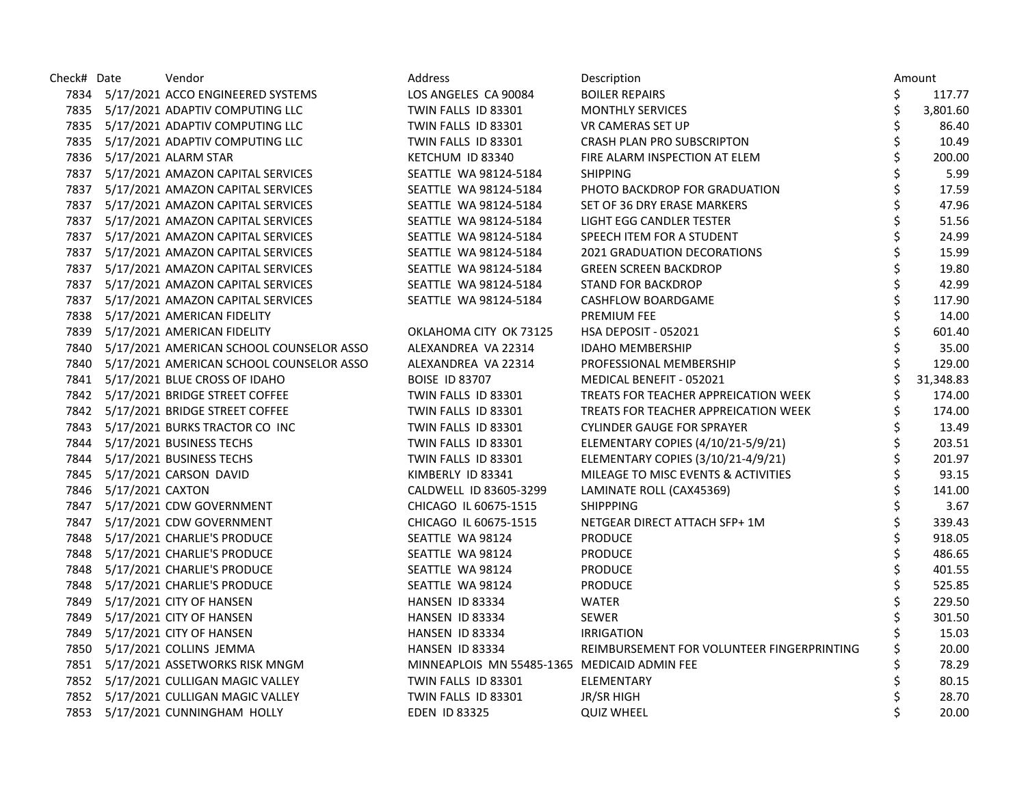| Check# Date |                       | Vendor                                        | Address                                      | Description                                |    | Amount    |
|-------------|-----------------------|-----------------------------------------------|----------------------------------------------|--------------------------------------------|----|-----------|
|             |                       | 7834 5/17/2021 ACCO ENGINEERED SYSTEMS        | LOS ANGELES CA 90084                         | <b>BOILER REPAIRS</b>                      | \$ | 117.77    |
|             |                       | 7835 5/17/2021 ADAPTIV COMPUTING LLC          | TWIN FALLS ID 83301                          | <b>MONTHLY SERVICES</b>                    | \$ | 3,801.60  |
|             |                       | 7835 5/17/2021 ADAPTIV COMPUTING LLC          | TWIN FALLS ID 83301                          | VR CAMERAS SET UP                          | \$ | 86.40     |
|             |                       | 7835 5/17/2021 ADAPTIV COMPUTING LLC          | TWIN FALLS ID 83301                          | CRASH PLAN PRO SUBSCRIPTON                 | \$ | 10.49     |
|             |                       | 7836 5/17/2021 ALARM STAR                     | KETCHUM ID 83340                             | FIRE ALARM INSPECTION AT ELEM              | \$ | 200.00    |
|             |                       | 7837 5/17/2021 AMAZON CAPITAL SERVICES        | SEATTLE WA 98124-5184                        | <b>SHIPPING</b>                            | \$ | 5.99      |
|             |                       | 7837 5/17/2021 AMAZON CAPITAL SERVICES        | SEATTLE WA 98124-5184                        | PHOTO BACKDROP FOR GRADUATION              | \$ | 17.59     |
|             |                       | 7837 5/17/2021 AMAZON CAPITAL SERVICES        | SEATTLE WA 98124-5184                        | SET OF 36 DRY ERASE MARKERS                | \$ | 47.96     |
|             |                       | 7837 5/17/2021 AMAZON CAPITAL SERVICES        | SEATTLE WA 98124-5184                        | LIGHT EGG CANDLER TESTER                   | \$ | 51.56     |
|             |                       | 7837 5/17/2021 AMAZON CAPITAL SERVICES        | SEATTLE WA 98124-5184                        | SPEECH ITEM FOR A STUDENT                  | \$ | 24.99     |
|             |                       | 7837 5/17/2021 AMAZON CAPITAL SERVICES        | SEATTLE WA 98124-5184                        | 2021 GRADUATION DECORATIONS                | \$ | 15.99     |
|             |                       | 7837 5/17/2021 AMAZON CAPITAL SERVICES        | SEATTLE WA 98124-5184                        | <b>GREEN SCREEN BACKDROP</b>               | \$ | 19.80     |
|             |                       | 7837 5/17/2021 AMAZON CAPITAL SERVICES        | SEATTLE WA 98124-5184                        | <b>STAND FOR BACKDROP</b>                  | \$ | 42.99     |
|             |                       | 7837 5/17/2021 AMAZON CAPITAL SERVICES        | SEATTLE WA 98124-5184                        | CASHFLOW BOARDGAME                         | \$ | 117.90    |
|             |                       | 7838 5/17/2021 AMERICAN FIDELITY              |                                              | <b>PREMIUM FEE</b>                         | \$ | 14.00     |
|             |                       | 7839 5/17/2021 AMERICAN FIDELITY              | OKLAHOMA CITY OK 73125                       | <b>HSA DEPOSIT - 052021</b>                | \$ | 601.40    |
|             |                       | 7840 5/17/2021 AMERICAN SCHOOL COUNSELOR ASSO | ALEXANDREA VA 22314                          | <b>IDAHO MEMBERSHIP</b>                    | \$ | 35.00     |
|             |                       | 7840 5/17/2021 AMERICAN SCHOOL COUNSELOR ASSO | ALEXANDREA VA 22314                          | PROFESSIONAL MEMBERSHIP                    | \$ | 129.00    |
|             |                       | 7841 5/17/2021 BLUE CROSS OF IDAHO            | <b>BOISE ID 83707</b>                        | MEDICAL BENEFIT - 052021                   | Ś  | 31,348.83 |
|             |                       | 7842 5/17/2021 BRIDGE STREET COFFEE           | TWIN FALLS ID 83301                          | TREATS FOR TEACHER APPREICATION WEEK       | \$ | 174.00    |
|             |                       | 7842 5/17/2021 BRIDGE STREET COFFEE           | TWIN FALLS ID 83301                          | TREATS FOR TEACHER APPREICATION WEEK       | \$ | 174.00    |
|             |                       | 7843 5/17/2021 BURKS TRACTOR CO INC           | TWIN FALLS ID 83301                          | <b>CYLINDER GAUGE FOR SPRAYER</b>          | \$ | 13.49     |
|             |                       | 7844 5/17/2021 BUSINESS TECHS                 | TWIN FALLS ID 83301                          | ELEMENTARY COPIES (4/10/21-5/9/21)         | \$ | 203.51    |
|             |                       | 7844 5/17/2021 BUSINESS TECHS                 | TWIN FALLS ID 83301                          | ELEMENTARY COPIES (3/10/21-4/9/21)         | \$ | 201.97    |
|             |                       | 7845 5/17/2021 CARSON DAVID                   | KIMBERLY ID 83341                            | MILEAGE TO MISC EVENTS & ACTIVITIES        | \$ | 93.15     |
|             | 7846 5/17/2021 CAXTON |                                               | CALDWELL ID 83605-3299                       | LAMINATE ROLL (CAX45369)                   | \$ | 141.00    |
|             |                       | 7847 5/17/2021 CDW GOVERNMENT                 | CHICAGO IL 60675-1515                        | <b>SHIPPPING</b>                           | \$ | 3.67      |
|             |                       | 7847 5/17/2021 CDW GOVERNMENT                 | CHICAGO IL 60675-1515                        | NETGEAR DIRECT ATTACH SFP+ 1M              | \$ | 339.43    |
|             |                       | 7848 5/17/2021 CHARLIE'S PRODUCE              | SEATTLE WA 98124                             | <b>PRODUCE</b>                             |    | 918.05    |
|             |                       | 7848 5/17/2021 CHARLIE'S PRODUCE              | SEATTLE WA 98124                             | <b>PRODUCE</b>                             | \$ | 486.65    |
|             |                       | 7848 5/17/2021 CHARLIE'S PRODUCE              | SEATTLE WA 98124                             | <b>PRODUCE</b>                             | \$ | 401.55    |
|             |                       | 7848 5/17/2021 CHARLIE'S PRODUCE              | SEATTLE WA 98124                             | <b>PRODUCE</b>                             | \$ | 525.85    |
|             |                       | 7849 5/17/2021 CITY OF HANSEN                 | HANSEN ID 83334                              | <b>WATER</b>                               | \$ | 229.50    |
|             |                       | 7849 5/17/2021 CITY OF HANSEN                 | HANSEN ID 83334                              | <b>SEWER</b>                               | \$ | 301.50    |
|             |                       | 7849 5/17/2021 CITY OF HANSEN                 | HANSEN ID 83334                              | <b>IRRIGATION</b>                          |    | 15.03     |
|             |                       | 7850 5/17/2021 COLLINS JEMMA                  | HANSEN ID 83334                              | REIMBURSEMENT FOR VOLUNTEER FINGERPRINTING | \$ | 20.00     |
|             |                       | 7851 5/17/2021 ASSETWORKS RISK MNGM           | MINNEAPLOIS MN 55485-1365 MEDICAID ADMIN FEE |                                            | \$ | 78.29     |
|             |                       | 7852 5/17/2021 CULLIGAN MAGIC VALLEY          | TWIN FALLS ID 83301                          | ELEMENTARY                                 | \$ | 80.15     |
|             |                       | 7852 5/17/2021 CULLIGAN MAGIC VALLEY          | TWIN FALLS ID 83301                          | JR/SR HIGH                                 | \$ | 28.70     |
|             |                       | 7853 5/17/2021 CUNNINGHAM HOLLY               | <b>EDEN ID 83325</b>                         | <b>QUIZ WHEEL</b>                          | Ś. | 20.00     |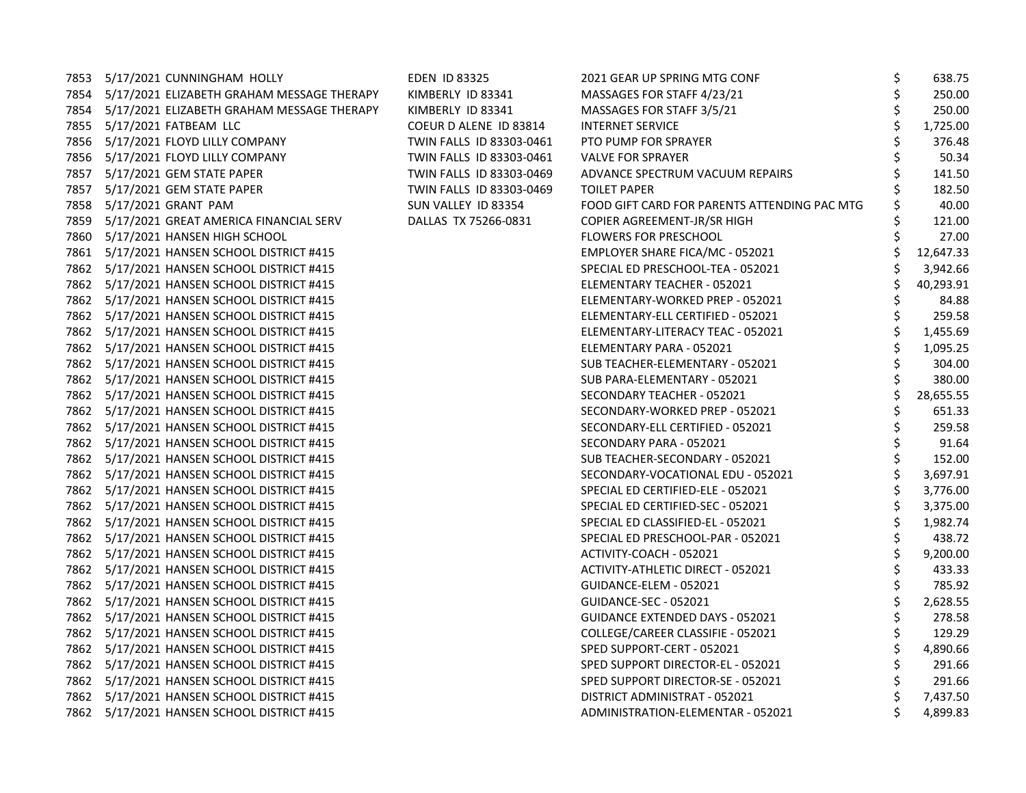|      | 7853 5/17/2021 CUNNINGHAM HOLLY                 | <b>EDEN ID 83325</b>     | 2021 GEAR UP SPRING MTG CONF                 | \$ | 638.75    |
|------|-------------------------------------------------|--------------------------|----------------------------------------------|----|-----------|
|      | 7854 5/17/2021 ELIZABETH GRAHAM MESSAGE THERAPY | KIMBERLY ID 83341        | MASSAGES FOR STAFF 4/23/21                   | \$ | 250.00    |
|      | 7854 5/17/2021 ELIZABETH GRAHAM MESSAGE THERAPY | KIMBERLY ID 83341        | MASSAGES FOR STAFF 3/5/21                    |    | 250.00    |
|      | 7855 5/17/2021 FATBEAM LLC                      | COEUR D ALENE ID 83814   | <b>INTERNET SERVICE</b>                      | \$ | 1,725.00  |
|      | 7856 5/17/2021 FLOYD LILLY COMPANY              | TWIN FALLS ID 83303-0461 | PTO PUMP FOR SPRAYER                         |    | 376.48    |
|      | 7856 5/17/2021 FLOYD LILLY COMPANY              | TWIN FALLS ID 83303-0461 | <b>VALVE FOR SPRAYER</b>                     |    | 50.34     |
| 7857 | 5/17/2021 GEM STATE PAPER                       | TWIN FALLS ID 83303-0469 | ADVANCE SPECTRUM VACUUM REPAIRS              |    | 141.50    |
| 7857 | 5/17/2021 GEM STATE PAPER                       | TWIN FALLS ID 83303-0469 | <b>TOILET PAPER</b>                          |    | 182.50    |
| 7858 | 5/17/2021 GRANT PAM                             | SUN VALLEY ID 83354      | FOOD GIFT CARD FOR PARENTS ATTENDING PAC MTG |    | 40.00     |
|      | 7859 5/17/2021 GREAT AMERICA FINANCIAL SERV     | DALLAS TX 75266-0831     | COPIER AGREEMENT-JR/SR HIGH                  |    | 121.00    |
|      | 7860 5/17/2021 HANSEN HIGH SCHOOL               |                          | FLOWERS FOR PRESCHOOL                        | \$ | 27.00     |
|      | 7861 5/17/2021 HANSEN SCHOOL DISTRICT #415      |                          | EMPLOYER SHARE FICA/MC - 052021              |    | 12,647.33 |
|      | 7862 5/17/2021 HANSEN SCHOOL DISTRICT #415      |                          | SPECIAL ED PRESCHOOL-TEA - 052021            |    | 3,942.66  |
|      | 7862 5/17/2021 HANSEN SCHOOL DISTRICT #415      |                          | ELEMENTARY TEACHER - 052021                  |    | 40,293.91 |
|      | 7862 5/17/2021 HANSEN SCHOOL DISTRICT #415      |                          | ELEMENTARY-WORKED PREP - 052021              |    | 84.88     |
|      | 7862 5/17/2021 HANSEN SCHOOL DISTRICT #415      |                          | ELEMENTARY-ELL CERTIFIED - 052021            | \$ | 259.58    |
|      | 7862 5/17/2021 HANSEN SCHOOL DISTRICT #415      |                          | ELEMENTARY-LITERACY TEAC - 052021            | \$ | 1,455.69  |
|      | 7862 5/17/2021 HANSEN SCHOOL DISTRICT #415      |                          | ELEMENTARY PARA - 052021                     |    | 1,095.25  |
|      | 7862 5/17/2021 HANSEN SCHOOL DISTRICT #415      |                          | SUB TEACHER-ELEMENTARY - 052021              |    | 304.00    |
|      | 7862 5/17/2021 HANSEN SCHOOL DISTRICT #415      |                          | SUB PARA-ELEMENTARY - 052021                 |    | 380.00    |
|      | 7862 5/17/2021 HANSEN SCHOOL DISTRICT #415      |                          | SECONDARY TEACHER - 052021                   | Ś  | 28,655.55 |
|      | 7862 5/17/2021 HANSEN SCHOOL DISTRICT #415      |                          | SECONDARY-WORKED PREP - 052021               |    | 651.33    |
|      | 7862 5/17/2021 HANSEN SCHOOL DISTRICT #415      |                          | SECONDARY-ELL CERTIFIED - 052021             | \$ | 259.58    |
|      | 7862 5/17/2021 HANSEN SCHOOL DISTRICT #415      |                          | SECONDARY PARA - 052021                      |    | 91.64     |
|      | 7862 5/17/2021 HANSEN SCHOOL DISTRICT #415      |                          | SUB TEACHER-SECONDARY - 052021               |    | 152.00    |
|      | 7862 5/17/2021 HANSEN SCHOOL DISTRICT #415      |                          | SECONDARY-VOCATIONAL EDU - 052021            |    | 3,697.91  |
|      | 7862 5/17/2021 HANSEN SCHOOL DISTRICT #415      |                          | SPECIAL ED CERTIFIED-ELE - 052021            |    | 3,776.00  |
|      | 7862 5/17/2021 HANSEN SCHOOL DISTRICT #415      |                          | SPECIAL ED CERTIFIED-SEC - 052021            | \$ | 3,375.00  |
|      | 7862 5/17/2021 HANSEN SCHOOL DISTRICT #415      |                          | SPECIAL ED CLASSIFIED-EL - 052021            | \$ | 1,982.74  |
|      | 7862 5/17/2021 HANSEN SCHOOL DISTRICT #415      |                          | SPECIAL ED PRESCHOOL-PAR - 052021            |    | 438.72    |
|      | 7862 5/17/2021 HANSEN SCHOOL DISTRICT #415      |                          | ACTIVITY-COACH - 052021                      |    | 9,200.00  |
|      | 7862 5/17/2021 HANSEN SCHOOL DISTRICT #415      |                          | ACTIVITY-ATHLETIC DIRECT - 052021            |    | 433.33    |
|      | 7862 5/17/2021 HANSEN SCHOOL DISTRICT #415      |                          | GUIDANCE-ELEM - 052021                       |    | 785.92    |
|      | 7862 5/17/2021 HANSEN SCHOOL DISTRICT #415      |                          | <b>GUIDANCE-SEC - 052021</b>                 | \$ | 2,628.55  |
|      | 7862 5/17/2021 HANSEN SCHOOL DISTRICT #415      |                          | GUIDANCE EXTENDED DAYS - 052021              | \$ | 278.58    |
|      | 7862 5/17/2021 HANSEN SCHOOL DISTRICT #415      |                          | COLLEGE/CAREER CLASSIFIE - 052021            |    | 129.29    |
|      | 7862 5/17/2021 HANSEN SCHOOL DISTRICT #415      |                          | SPED SUPPORT-CERT - 052021                   |    | 4,890.66  |
|      | 7862 5/17/2021 HANSEN SCHOOL DISTRICT #415      |                          | SPED SUPPORT DIRECTOR-EL - 052021            |    | 291.66    |
|      | 7862 5/17/2021 HANSEN SCHOOL DISTRICT #415      |                          | SPED SUPPORT DIRECTOR-SE - 052021            |    | 291.66    |
|      | 7862 5/17/2021 HANSEN SCHOOL DISTRICT #415      |                          | DISTRICT ADMINISTRAT - 052021                | Ś. | 7,437.50  |
|      | 7862 5/17/2021 HANSEN SCHOOL DISTRICT #415      |                          | ADMINISTRATION-ELEMENTAR - 052021            |    | 4,899.83  |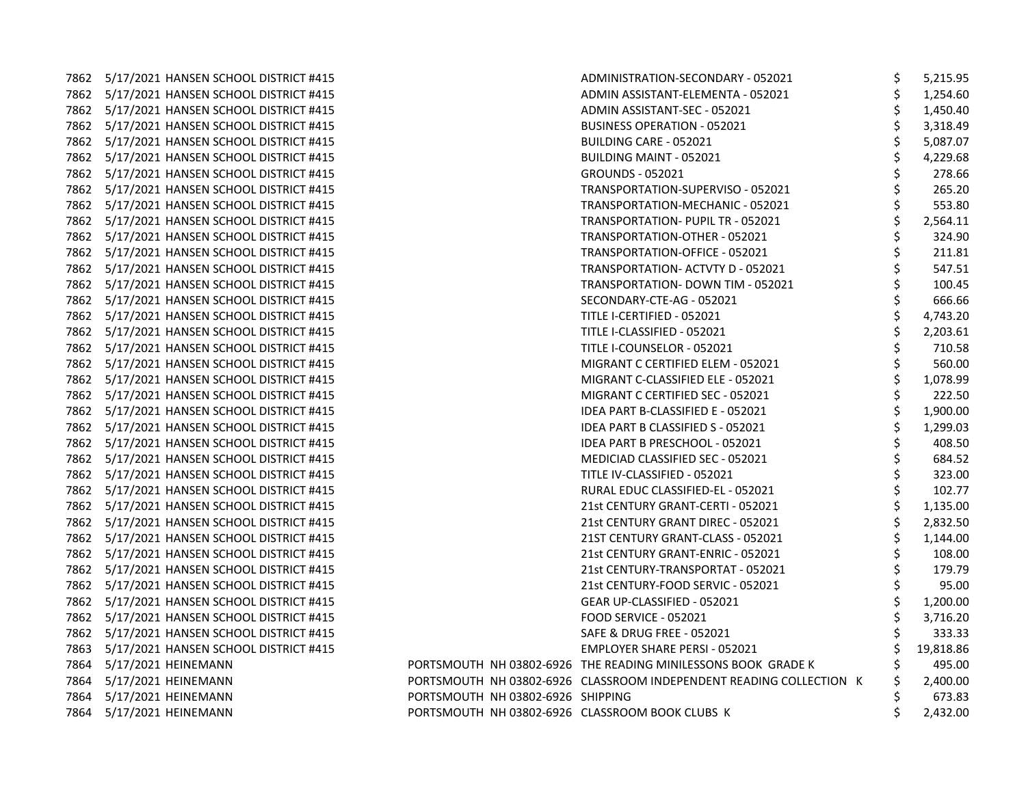|      | 7862 5/17/2021 HANSEN SCHOOL DISTRICT #415 |                                                 | ADMINISTRATION-SECONDARY - 052021                                   | \$ | 5,215.95  |
|------|--------------------------------------------|-------------------------------------------------|---------------------------------------------------------------------|----|-----------|
|      | 7862 5/17/2021 HANSEN SCHOOL DISTRICT #415 |                                                 | ADMIN ASSISTANT-ELEMENTA - 052021                                   | \$ | 1,254.60  |
|      | 7862 5/17/2021 HANSEN SCHOOL DISTRICT #415 |                                                 | ADMIN ASSISTANT-SEC - 052021                                        | \$ | 1,450.40  |
|      | 7862 5/17/2021 HANSEN SCHOOL DISTRICT #415 |                                                 | <b>BUSINESS OPERATION - 052021</b>                                  | \$ | 3,318.49  |
|      | 7862 5/17/2021 HANSEN SCHOOL DISTRICT #415 |                                                 | <b>BUILDING CARE - 052021</b>                                       | \$ | 5,087.07  |
|      | 7862 5/17/2021 HANSEN SCHOOL DISTRICT #415 |                                                 | <b>BUILDING MAINT - 052021</b>                                      | \$ | 4,229.68  |
|      | 7862 5/17/2021 HANSEN SCHOOL DISTRICT #415 |                                                 | GROUNDS - 052021                                                    |    | 278.66    |
|      | 7862 5/17/2021 HANSEN SCHOOL DISTRICT #415 |                                                 | TRANSPORTATION-SUPERVISO - 052021                                   | \$ | 265.20    |
|      | 7862 5/17/2021 HANSEN SCHOOL DISTRICT #415 |                                                 | TRANSPORTATION-MECHANIC - 052021                                    | \$ | 553.80    |
|      | 7862 5/17/2021 HANSEN SCHOOL DISTRICT #415 |                                                 | TRANSPORTATION- PUPIL TR - 052021                                   | \$ | 2,564.11  |
|      | 7862 5/17/2021 HANSEN SCHOOL DISTRICT #415 |                                                 | TRANSPORTATION-OTHER - 052021                                       | \$ | 324.90    |
|      | 7862 5/17/2021 HANSEN SCHOOL DISTRICT #415 |                                                 | TRANSPORTATION-OFFICE - 052021                                      | \$ | 211.81    |
|      | 7862 5/17/2021 HANSEN SCHOOL DISTRICT #415 |                                                 | TRANSPORTATION- ACTVTY D - 052021                                   | \$ | 547.51    |
|      | 7862 5/17/2021 HANSEN SCHOOL DISTRICT #415 |                                                 | TRANSPORTATION- DOWN TIM - 052021                                   | \$ | 100.45    |
|      | 7862 5/17/2021 HANSEN SCHOOL DISTRICT #415 |                                                 | SECONDARY-CTE-AG - 052021                                           | \$ | 666.66    |
|      | 7862 5/17/2021 HANSEN SCHOOL DISTRICT #415 |                                                 | TITLE I-CERTIFIED - 052021                                          | \$ | 4,743.20  |
|      | 7862 5/17/2021 HANSEN SCHOOL DISTRICT #415 |                                                 | TITLE I-CLASSIFIED - 052021                                         | \$ | 2,203.61  |
|      | 7862 5/17/2021 HANSEN SCHOOL DISTRICT #415 |                                                 | TITLE I-COUNSELOR - 052021                                          | \$ | 710.58    |
|      | 7862 5/17/2021 HANSEN SCHOOL DISTRICT #415 |                                                 | MIGRANT C CERTIFIED ELEM - 052021                                   | \$ | 560.00    |
|      | 7862 5/17/2021 HANSEN SCHOOL DISTRICT #415 |                                                 | MIGRANT C-CLASSIFIED ELE - 052021                                   | \$ | 1,078.99  |
|      | 7862 5/17/2021 HANSEN SCHOOL DISTRICT #415 |                                                 | MIGRANT C CERTIFIED SEC - 052021                                    | \$ | 222.50    |
|      | 7862 5/17/2021 HANSEN SCHOOL DISTRICT #415 |                                                 | IDEA PART B-CLASSIFIED E - 052021                                   | \$ | 1,900.00  |
|      | 7862 5/17/2021 HANSEN SCHOOL DISTRICT #415 |                                                 | IDEA PART B CLASSIFIED S - 052021                                   | \$ | 1,299.03  |
|      | 7862 5/17/2021 HANSEN SCHOOL DISTRICT #415 |                                                 | IDEA PART B PRESCHOOL - 052021                                      | \$ | 408.50    |
|      | 7862 5/17/2021 HANSEN SCHOOL DISTRICT #415 |                                                 | MEDICIAD CLASSIFIED SEC - 052021                                    | \$ | 684.52    |
|      | 7862 5/17/2021 HANSEN SCHOOL DISTRICT #415 |                                                 | TITLE IV-CLASSIFIED - 052021                                        | \$ | 323.00    |
|      | 7862 5/17/2021 HANSEN SCHOOL DISTRICT #415 |                                                 | RURAL EDUC CLASSIFIED-EL - 052021                                   | \$ | 102.77    |
|      | 7862 5/17/2021 HANSEN SCHOOL DISTRICT #415 |                                                 | 21st CENTURY GRANT-CERTI - 052021                                   | \$ | 1,135.00  |
|      | 7862 5/17/2021 HANSEN SCHOOL DISTRICT #415 |                                                 | 21st CENTURY GRANT DIREC - 052021                                   |    | 2,832.50  |
|      | 7862 5/17/2021 HANSEN SCHOOL DISTRICT #415 |                                                 | 21ST CENTURY GRANT-CLASS - 052021                                   | \$ | 1,144.00  |
| 7862 | 5/17/2021 HANSEN SCHOOL DISTRICT #415      |                                                 | 21st CENTURY GRANT-ENRIC - 052021                                   | \$ | 108.00    |
|      | 7862 5/17/2021 HANSEN SCHOOL DISTRICT #415 |                                                 | 21st CENTURY-TRANSPORTAT - 052021                                   | \$ | 179.79    |
|      | 7862 5/17/2021 HANSEN SCHOOL DISTRICT #415 |                                                 | 21st CENTURY-FOOD SERVIC - 052021                                   | \$ | 95.00     |
|      | 7862 5/17/2021 HANSEN SCHOOL DISTRICT #415 |                                                 | GEAR UP-CLASSIFIED - 052021                                         | \$ | 1,200.00  |
|      | 7862 5/17/2021 HANSEN SCHOOL DISTRICT #415 |                                                 | FOOD SERVICE - 052021                                               |    | 3,716.20  |
| 7862 | 5/17/2021 HANSEN SCHOOL DISTRICT #415      |                                                 | SAFE & DRUG FREE - 052021                                           |    | 333.33    |
| 7863 | 5/17/2021 HANSEN SCHOOL DISTRICT #415      |                                                 | <b>EMPLOYER SHARE PERSI - 052021</b>                                |    | 19,818.86 |
| 7864 | 5/17/2021 HEINEMANN                        |                                                 | PORTSMOUTH NH 03802-6926 THE READING MINILESSONS BOOK GRADE K       | Ś. | 495.00    |
|      | 7864 5/17/2021 HEINEMANN                   |                                                 | PORTSMOUTH NH 03802-6926 CLASSROOM INDEPENDENT READING COLLECTION K | \$ | 2,400.00  |
|      | 7864 5/17/2021 HEINEMANN                   | PORTSMOUTH NH 03802-6926 SHIPPING               |                                                                     | \$ | 673.83    |
|      | 7864 5/17/2021 HEINEMANN                   | PORTSMOUTH NH 03802-6926 CLASSROOM BOOK CLUBS K |                                                                     | \$ | 2,432.00  |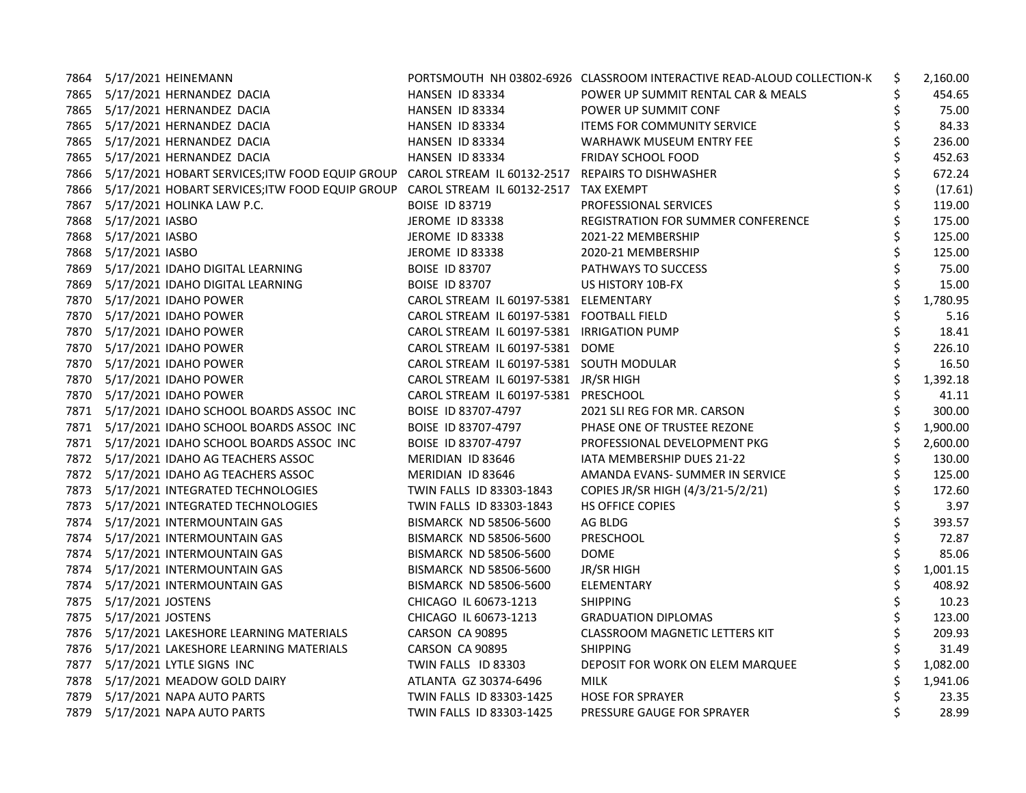| 7864 | 5/17/2021 HEINEMANN                                                                                  |                                            | PORTSMOUTH NH 03802-6926 CLASSROOM INTERACTIVE READ-ALOUD COLLECTION-K | \$<br>2,160.00 |
|------|------------------------------------------------------------------------------------------------------|--------------------------------------------|------------------------------------------------------------------------|----------------|
|      | 7865 5/17/2021 HERNANDEZ DACIA                                                                       | HANSEN ID 83334                            | POWER UP SUMMIT RENTAL CAR & MEALS                                     | \$<br>454.65   |
|      | 7865 5/17/2021 HERNANDEZ DACIA                                                                       | HANSEN ID 83334                            | POWER UP SUMMIT CONF                                                   | \$<br>75.00    |
|      | 7865 5/17/2021 HERNANDEZ DACIA                                                                       | HANSEN ID 83334                            | ITEMS FOR COMMUNITY SERVICE                                            | \$<br>84.33    |
|      | 7865 5/17/2021 HERNANDEZ DACIA                                                                       | HANSEN ID 83334                            | WARHAWK MUSEUM ENTRY FEE                                               | \$<br>236.00   |
|      | 7865 5/17/2021 HERNANDEZ DACIA                                                                       | HANSEN ID 83334                            | FRIDAY SCHOOL FOOD                                                     | 452.63         |
|      | 7866 5/17/2021 HOBART SERVICES;ITW FOOD EQUIP GROUP CAROL STREAM IL 60132-2517 REPAIRS TO DISHWASHER |                                            |                                                                        | \$<br>672.24   |
| 7866 | 5/17/2021 HOBART SERVICES;ITW FOOD EQUIP GROUP CAROL STREAM IL 60132-2517 TAX EXEMPT                 |                                            |                                                                        | (17.61)        |
| 7867 | 5/17/2021 HOLINKA LAW P.C.                                                                           | <b>BOISE ID 83719</b>                      | PROFESSIONAL SERVICES                                                  | \$<br>119.00   |
| 7868 | 5/17/2021 IASBO                                                                                      | JEROME ID 83338                            | REGISTRATION FOR SUMMER CONFERENCE                                     | \$<br>175.00   |
|      | 7868 5/17/2021 IASBO                                                                                 | JEROME ID 83338                            | 2021-22 MEMBERSHIP                                                     | \$<br>125.00   |
|      | 7868 5/17/2021 IASBO                                                                                 | JEROME ID 83338                            | 2020-21 MEMBERSHIP                                                     | 125.00         |
|      | 7869 5/17/2021 IDAHO DIGITAL LEARNING                                                                | <b>BOISE ID 83707</b>                      | PATHWAYS TO SUCCESS                                                    | \$<br>75.00    |
|      | 7869 5/17/2021 IDAHO DIGITAL LEARNING                                                                | <b>BOISE ID 83707</b>                      | US HISTORY 10B-FX                                                      | 15.00          |
|      | 7870 5/17/2021 IDAHO POWER                                                                           | CAROL STREAM IL 60197-5381 ELEMENTARY      |                                                                        | \$<br>1,780.95 |
|      | 7870 5/17/2021 IDAHO POWER                                                                           | CAROL STREAM IL 60197-5381 FOOTBALL FIELD  |                                                                        | \$<br>5.16     |
|      | 7870 5/17/2021 IDAHO POWER                                                                           | CAROL STREAM IL 60197-5381 IRRIGATION PUMP |                                                                        | \$<br>18.41    |
|      | 7870 5/17/2021 IDAHO POWER                                                                           | CAROL STREAM IL 60197-5381 DOME            |                                                                        | \$<br>226.10   |
|      | 7870 5/17/2021 IDAHO POWER                                                                           | CAROL STREAM IL 60197-5381 SOUTH MODULAR   |                                                                        | \$<br>16.50    |
|      | 7870 5/17/2021 IDAHO POWER                                                                           | CAROL STREAM IL 60197-5381 JR/SR HIGH      |                                                                        | \$<br>1,392.18 |
|      | 7870 5/17/2021 IDAHO POWER                                                                           | CAROL STREAM IL 60197-5381 PRESCHOOL       |                                                                        | \$<br>41.11    |
|      | 7871 5/17/2021 IDAHO SCHOOL BOARDS ASSOC INC                                                         | BOISE ID 83707-4797                        | 2021 SLI REG FOR MR. CARSON                                            | \$<br>300.00   |
|      | 7871 5/17/2021 IDAHO SCHOOL BOARDS ASSOC INC                                                         | BOISE ID 83707-4797                        | PHASE ONE OF TRUSTEE REZONE                                            | \$<br>1,900.00 |
|      | 7871 5/17/2021 IDAHO SCHOOL BOARDS ASSOC INC                                                         | BOISE ID 83707-4797                        | PROFESSIONAL DEVELOPMENT PKG                                           | \$<br>2,600.00 |
|      | 7872 5/17/2021 IDAHO AG TEACHERS ASSOC                                                               | MERIDIAN ID 83646                          | IATA MEMBERSHIP DUES 21-22                                             | \$<br>130.00   |
|      | 7872 5/17/2021 IDAHO AG TEACHERS ASSOC                                                               | MERIDIAN ID 83646                          | AMANDA EVANS- SUMMER IN SERVICE                                        | \$<br>125.00   |
|      | 7873 5/17/2021 INTEGRATED TECHNOLOGIES                                                               | TWIN FALLS ID 83303-1843                   | COPIES JR/SR HIGH (4/3/21-5/2/21)                                      | \$<br>172.60   |
|      | 7873 5/17/2021 INTEGRATED TECHNOLOGIES                                                               | TWIN FALLS ID 83303-1843                   | <b>HS OFFICE COPIES</b>                                                | \$<br>3.97     |
|      | 7874 5/17/2021 INTERMOUNTAIN GAS                                                                     | <b>BISMARCK ND 58506-5600</b>              | AG BLDG                                                                | \$<br>393.57   |
|      | 7874 5/17/2021 INTERMOUNTAIN GAS                                                                     | <b>BISMARCK ND 58506-5600</b>              | PRESCHOOL                                                              | \$<br>72.87    |
| 7874 | 5/17/2021 INTERMOUNTAIN GAS                                                                          | <b>BISMARCK ND 58506-5600</b>              | <b>DOME</b>                                                            | \$<br>85.06    |
| 7874 | 5/17/2021 INTERMOUNTAIN GAS                                                                          | <b>BISMARCK ND 58506-5600</b>              | JR/SR HIGH                                                             | \$<br>1,001.15 |
| 7874 | 5/17/2021 INTERMOUNTAIN GAS                                                                          | <b>BISMARCK ND 58506-5600</b>              | ELEMENTARY                                                             | \$<br>408.92   |
| 7875 | 5/17/2021 JOSTENS                                                                                    | CHICAGO IL 60673-1213                      | <b>SHIPPING</b>                                                        | \$<br>10.23    |
|      | 7875 5/17/2021 JOSTENS                                                                               | CHICAGO IL 60673-1213                      | <b>GRADUATION DIPLOMAS</b>                                             | \$<br>123.00   |
|      | 7876 5/17/2021 LAKESHORE LEARNING MATERIALS                                                          | CARSON CA 90895                            | CLASSROOM MAGNETIC LETTERS KIT                                         | \$<br>209.93   |
|      | 7876 5/17/2021 LAKESHORE LEARNING MATERIALS                                                          | CARSON CA 90895                            | <b>SHIPPING</b>                                                        | 31.49          |
| 7877 | 5/17/2021 LYTLE SIGNS INC                                                                            | TWIN FALLS ID 83303                        | DEPOSIT FOR WORK ON ELEM MARQUEE                                       | 1,082.00       |
|      | 7878 5/17/2021 MEADOW GOLD DAIRY                                                                     | ATLANTA GZ 30374-6496                      | <b>MILK</b>                                                            | 1,941.06       |
|      | 7879 5/17/2021 NAPA AUTO PARTS                                                                       | TWIN FALLS ID 83303-1425                   | <b>HOSE FOR SPRAYER</b>                                                | \$<br>23.35    |
|      | 7879 5/17/2021 NAPA AUTO PARTS                                                                       | TWIN FALLS ID 83303-1425                   | PRESSURE GAUGE FOR SPRAYER                                             | \$<br>28.99    |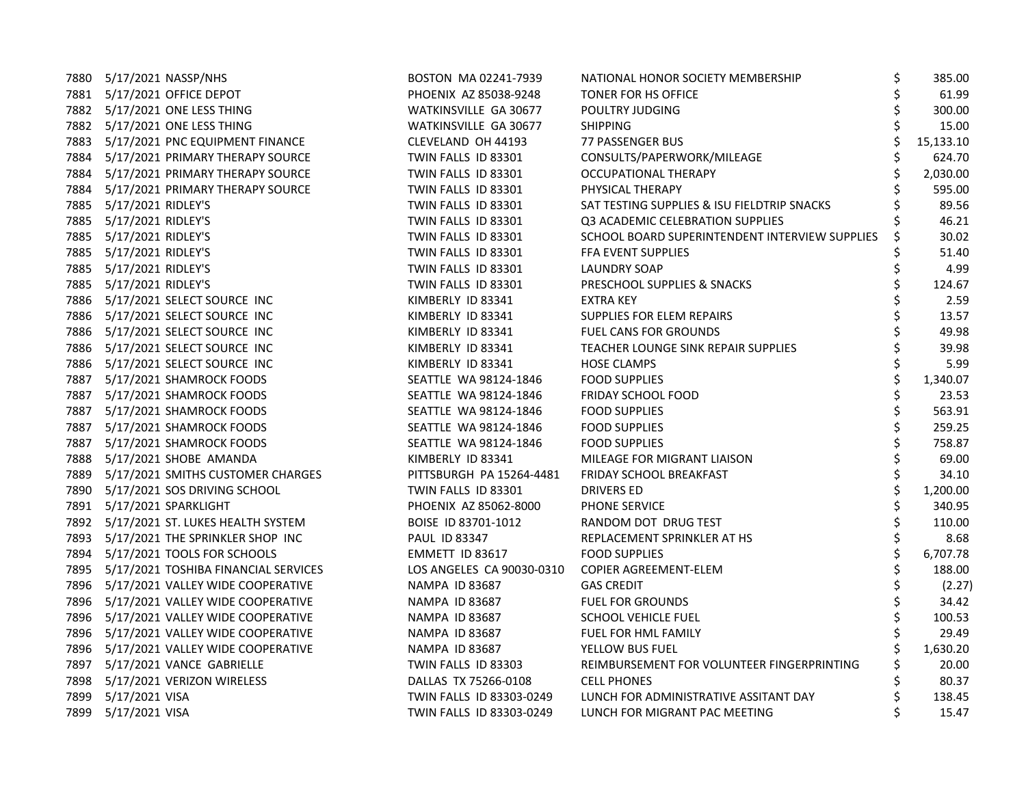|      | 7880 5/17/2021 NASSP/NHS               | BOSTON MA 02241-7939      | NATIONAL HONOR SOCIETY MEMBERSHIP              | \$ | 385.00    |
|------|----------------------------------------|---------------------------|------------------------------------------------|----|-----------|
|      | 7881 5/17/2021 OFFICE DEPOT            | PHOENIX AZ 85038-9248     | <b>TONER FOR HS OFFICE</b>                     | \$ | 61.99     |
|      | 7882 5/17/2021 ONE LESS THING          | WATKINSVILLE GA 30677     | POULTRY JUDGING                                |    | 300.00    |
|      | 7882 5/17/2021 ONE LESS THING          | WATKINSVILLE GA 30677     | <b>SHIPPING</b>                                | \$ | 15.00     |
|      | 7883 5/17/2021 PNC EQUIPMENT FINANCE   | CLEVELAND OH 44193        | 77 PASSENGER BUS                               | \$ | 15,133.10 |
|      | 7884 5/17/2021 PRIMARY THERAPY SOURCE  | TWIN FALLS ID 83301       | CONSULTS/PAPERWORK/MILEAGE                     |    | 624.70    |
| 7884 | 5/17/2021 PRIMARY THERAPY SOURCE       | TWIN FALLS ID 83301       | OCCUPATIONAL THERAPY                           |    | 2,030.00  |
| 7884 | 5/17/2021 PRIMARY THERAPY SOURCE       | TWIN FALLS ID 83301       | PHYSICAL THERAPY                               |    | 595.00    |
| 7885 | 5/17/2021 RIDLEY'S                     | TWIN FALLS ID 83301       | SAT TESTING SUPPLIES & ISU FIELDTRIP SNACKS    |    | 89.56     |
|      | 7885 5/17/2021 RIDLEY'S                | TWIN FALLS ID 83301       | Q3 ACADEMIC CELEBRATION SUPPLIES               |    | 46.21     |
|      | 7885 5/17/2021 RIDLEY'S                | TWIN FALLS ID 83301       | SCHOOL BOARD SUPERINTENDENT INTERVIEW SUPPLIES |    | 30.02     |
|      | 7885 5/17/2021 RIDLEY'S                | TWIN FALLS ID 83301       | FFA EVENT SUPPLIES                             |    | 51.40     |
|      | 7885 5/17/2021 RIDLEY'S                | TWIN FALLS ID 83301       | <b>LAUNDRY SOAP</b>                            |    | 4.99      |
|      | 7885 5/17/2021 RIDLEY'S                | TWIN FALLS ID 83301       | PRESCHOOL SUPPLIES & SNACKS                    |    | 124.67    |
|      | 7886 5/17/2021 SELECT SOURCE INC       | KIMBERLY ID 83341         | <b>EXTRA KEY</b>                               |    | 2.59      |
|      | 7886 5/17/2021 SELECT SOURCE INC       | KIMBERLY ID 83341         | SUPPLIES FOR ELEM REPAIRS                      | \$ | 13.57     |
|      | 7886 5/17/2021 SELECT SOURCE INC       | KIMBERLY ID 83341         | <b>FUEL CANS FOR GROUNDS</b>                   | \$ | 49.98     |
|      | 7886 5/17/2021 SELECT SOURCE INC       | KIMBERLY ID 83341         | TEACHER LOUNGE SINK REPAIR SUPPLIES            |    | 39.98     |
|      | 7886 5/17/2021 SELECT SOURCE INC       | KIMBERLY ID 83341         | <b>HOSE CLAMPS</b>                             |    | 5.99      |
| 7887 | 5/17/2021 SHAMROCK FOODS               | SEATTLE WA 98124-1846     | <b>FOOD SUPPLIES</b>                           |    | 1,340.07  |
| 7887 | 5/17/2021 SHAMROCK FOODS               | SEATTLE WA 98124-1846     | FRIDAY SCHOOL FOOD                             |    | 23.53     |
|      | 7887 5/17/2021 SHAMROCK FOODS          | SEATTLE WA 98124-1846     | <b>FOOD SUPPLIES</b>                           | \$ | 563.91    |
|      | 7887 5/17/2021 SHAMROCK FOODS          | SEATTLE WA 98124-1846     | <b>FOOD SUPPLIES</b>                           | \$ | 259.25    |
|      | 7887 5/17/2021 SHAMROCK FOODS          | SEATTLE WA 98124-1846     | <b>FOOD SUPPLIES</b>                           |    | 758.87    |
| 7888 | 5/17/2021 SHOBE AMANDA                 | KIMBERLY ID 83341         | MILEAGE FOR MIGRANT LIAISON                    |    | 69.00     |
| 7889 | 5/17/2021 SMITHS CUSTOMER CHARGES      | PITTSBURGH PA 15264-4481  | FRIDAY SCHOOL BREAKFAST                        | \$ | 34.10     |
|      | 7890 5/17/2021 SOS DRIVING SCHOOL      | TWIN FALLS ID 83301       | <b>DRIVERS ED</b>                              | \$ | 1,200.00  |
|      | 7891 5/17/2021 SPARKLIGHT              | PHOENIX AZ 85062-8000     | PHONE SERVICE                                  | \$ | 340.95    |
|      | 7892 5/17/2021 ST. LUKES HEALTH SYSTEM | BOISE ID 83701-1012       | RANDOM DOT DRUG TEST                           | \$ | 110.00    |
|      | 7893 5/17/2021 THE SPRINKLER SHOP INC  | PAUL ID 83347             | REPLACEMENT SPRINKLER AT HS                    |    | 8.68      |
|      | 7894 5/17/2021 TOOLS FOR SCHOOLS       | EMMETT ID 83617           | <b>FOOD SUPPLIES</b>                           |    | 6,707.78  |
| 7895 | 5/17/2021 TOSHIBA FINANCIAL SERVICES   | LOS ANGELES CA 90030-0310 | COPIER AGREEMENT-ELEM                          |    | 188.00    |
|      | 7896 5/17/2021 VALLEY WIDE COOPERATIVE | NAMPA ID 83687            | <b>GAS CREDIT</b>                              |    | (2.27)    |
|      | 7896 5/17/2021 VALLEY WIDE COOPERATIVE | NAMPA ID 83687            | FUEL FOR GROUNDS                               | \$ | 34.42     |
|      | 7896 5/17/2021 VALLEY WIDE COOPERATIVE | NAMPA ID 83687            | <b>SCHOOL VEHICLE FUEL</b>                     | \$ | 100.53    |
|      | 7896 5/17/2021 VALLEY WIDE COOPERATIVE | <b>NAMPA ID 83687</b>     | FUEL FOR HML FAMILY                            |    | 29.49     |
|      | 7896 5/17/2021 VALLEY WIDE COOPERATIVE | NAMPA ID 83687            | YELLOW BUS FUEL                                |    | 1,630.20  |
| 7897 | 5/17/2021 VANCE GABRIELLE              | TWIN FALLS ID 83303       | REIMBURSEMENT FOR VOLUNTEER FINGERPRINTING     |    | 20.00     |
| 7898 | 5/17/2021 VERIZON WIRELESS             | DALLAS TX 75266-0108      | <b>CELL PHONES</b>                             |    | 80.37     |
| 7899 | 5/17/2021 VISA                         | TWIN FALLS ID 83303-0249  | LUNCH FOR ADMINISTRATIVE ASSITANT DAY          | \$ | 138.45    |
| 7899 | 5/17/2021 VISA                         | TWIN FALLS ID 83303-0249  | LUNCH FOR MIGRANT PAC MEETING                  | Ś. | 15.47     |